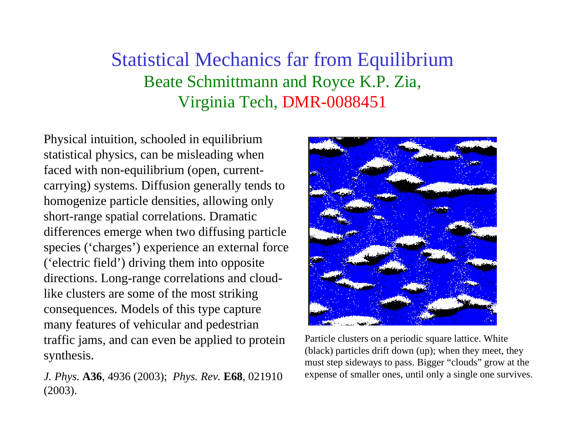## Statistical Mechanics far from Equilibrium Beate Schmittmann and Royce K.P. Zia, Virginia Tech, DMR-0088451

Physical intuition, schooled in equilibrium statistical physics, can be misleading when faced with non-equilibrium (open, currentcarrying) systems. Diffusion generally tends to homogenize particle densities, allowing only short-range spatial correlations. Dramatic differences emerge when two diffusing particle species ('charges') experience an external force ('electric field') driving them into opposite directions. Long-range correlations and cloudlike clusters are some of the most striking consequences. Models of this type capture many features of vehicular and pedestrian traffic jams, and can even be applied to protein synthesis.

*J. Phys.* **A36**, 4936 (2003); *Phys. Rev.* **E68**, 021910 (2003).



Particle clusters on a periodic square lattice. White (black) particles drift down (up); when they meet, they must step sideways to pass. Bigger "clouds" grow at the expense of smaller ones, until only a single one survives.